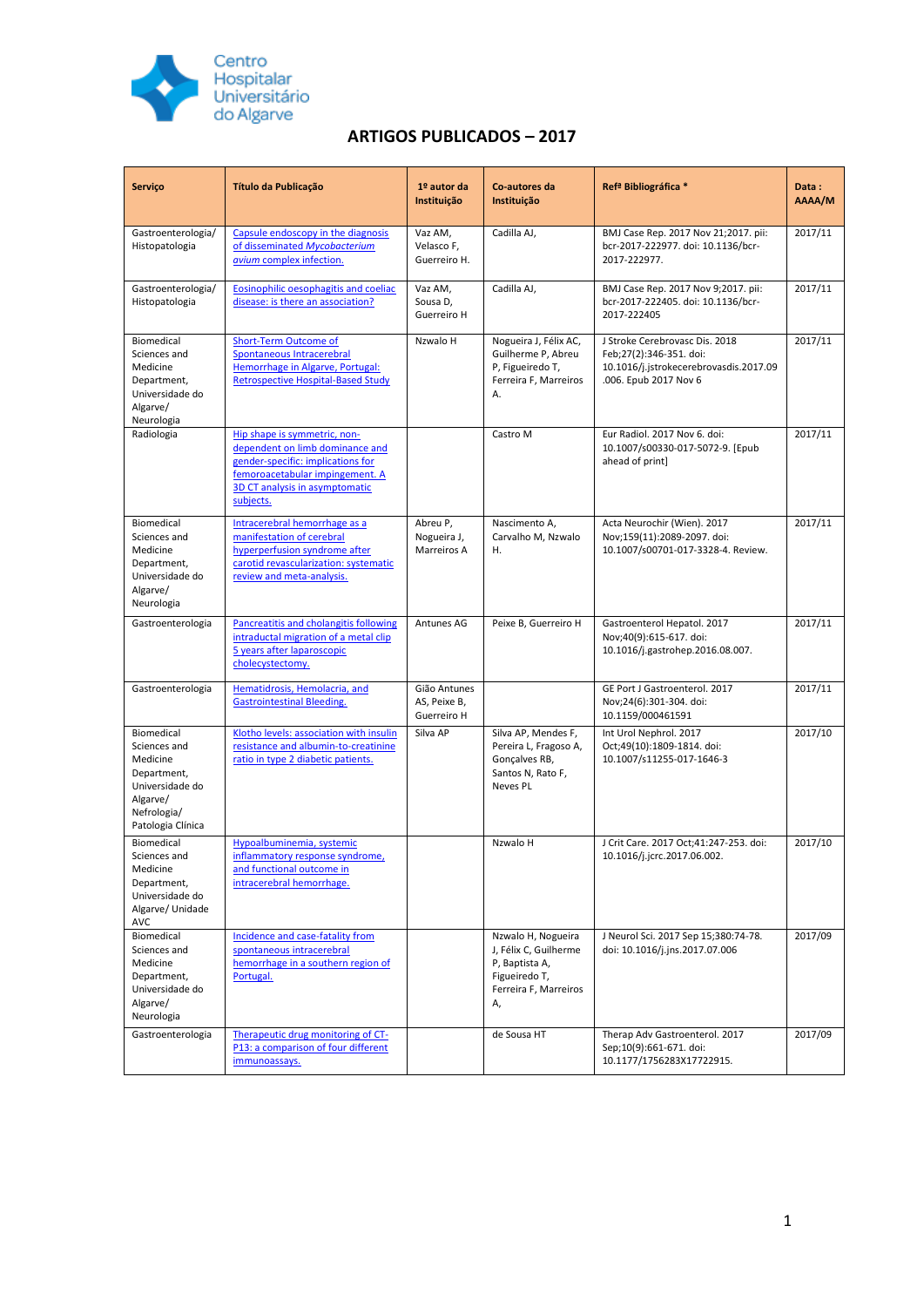

## **ARTIGOS PUBLICADOS – 2017**

| Serviço                                                                                                                  | Título da Publicação                                                                                                                                                                   | $1°$ autor da<br>Instituição                | Co-autores da<br>Instituição                                                                                  | Ref <sup>ª</sup> Bibliográfica *                                                                                             | Data:<br>AAAA/M |
|--------------------------------------------------------------------------------------------------------------------------|----------------------------------------------------------------------------------------------------------------------------------------------------------------------------------------|---------------------------------------------|---------------------------------------------------------------------------------------------------------------|------------------------------------------------------------------------------------------------------------------------------|-----------------|
| Gastroenterologia/<br>Histopatologia                                                                                     | Capsule endoscopy in the diagnosis<br>of disseminated Mycobacterium<br>avium complex infection.                                                                                        | Vaz AM,<br>Velasco F,<br>Guerreiro H.       | Cadilla AJ,                                                                                                   | BMJ Case Rep. 2017 Nov 21;2017. pii:<br>bcr-2017-222977. doi: 10.1136/bcr-<br>2017-222977.                                   | 2017/11         |
| Gastroenterologia/<br>Histopatologia                                                                                     | Eosinophilic oesophagitis and coeliac<br>disease: is there an association?                                                                                                             | Vaz AM,<br>Sousa D,<br>Guerreiro H          | Cadilla AJ,                                                                                                   | BMJ Case Rep. 2017 Nov 9;2017. pii:<br>bcr-2017-222405. doi: 10.1136/bcr-<br>2017-222405                                     | 2017/11         |
| Biomedical<br>Sciences and<br>Medicine<br>Department,<br>Universidade do<br>Algarve/<br>Neurologia                       | <b>Short-Term Outcome of</b><br>Spontaneous Intracerebral<br>Hemorrhage in Algarve, Portugal:<br><b>Retrospective Hospital-Based Study</b>                                             | Nzwalo H                                    | Nogueira J, Félix AC,<br>Guilherme P, Abreu<br>P, Figueiredo T,<br>Ferreira F, Marreiros<br>A.                | J Stroke Cerebrovasc Dis. 2018<br>Feb;27(2):346-351. doi:<br>10.1016/j.jstrokecerebrovasdis.2017.09<br>.006. Epub 2017 Nov 6 | 2017/11         |
| Radiologia                                                                                                               | Hip shape is symmetric, non-<br>dependent on limb dominance and<br>gender-specific: implications for<br>femoroacetabular impingement. A<br>3D CT analysis in asymptomatic<br>subjects. |                                             | Castro M                                                                                                      | Eur Radiol. 2017 Nov 6. doi:<br>10.1007/s00330-017-5072-9. [Epub<br>ahead of print]                                          | 2017/11         |
| Biomedical<br>Sciences and<br>Medicine<br>Department,<br>Universidade do<br>Algarve/<br>Neurologia                       | Intracerebral hemorrhage as a<br>manifestation of cerebral<br>hyperperfusion syndrome after<br>carotid revascularization: systematic<br>review and meta-analysis.                      | Abreu P,<br>Nogueira J,<br>Marreiros A      | Nascimento A,<br>Carvalho M, Nzwalo<br>Η.                                                                     | Acta Neurochir (Wien). 2017<br>Nov;159(11):2089-2097. doi:<br>10.1007/s00701-017-3328-4. Review.                             | 2017/11         |
| Gastroenterologia                                                                                                        | Pancreatitis and cholangitis following<br>intraductal migration of a metal clip<br>5 years after laparoscopic<br>cholecystectomy.                                                      | Antunes AG                                  | Peixe B, Guerreiro H                                                                                          | Gastroenterol Hepatol. 2017<br>Nov;40(9):615-617. doi:<br>10.1016/j.gastrohep.2016.08.007.                                   | 2017/11         |
| Gastroenterologia                                                                                                        | Hematidrosis, Hemolacria, and<br><b>Gastrointestinal Bleeding.</b>                                                                                                                     | Gião Antunes<br>AS, Peixe B,<br>Guerreiro H |                                                                                                               | GE Port J Gastroenterol. 2017<br>Nov;24(6):301-304. doi:<br>10.1159/000461591                                                | 2017/11         |
| Biomedical<br>Sciences and<br>Medicine<br>Department,<br>Universidade do<br>Algarve/<br>Nefrologia/<br>Patologia Clínica | Klotho levels: association with insulin<br>resistance and albumin-to-creatinine<br>ratio in type 2 diabetic patients.                                                                  | Silva AP                                    | Silva AP, Mendes F,<br>Pereira L, Fragoso A,<br>Gonçalves RB,<br>Santos N, Rato F,<br><b>Neves PL</b>         | Int Urol Nephrol. 2017<br>Oct;49(10):1809-1814. doi:<br>10.1007/s11255-017-1646-3                                            | 2017/10         |
| Biomedical<br>Sciences and<br>Medicine<br>Department,<br>Universidade do<br>Algarve/Unidade<br><b>AVC</b>                | Hypoalbuminemia, systemic<br>inflammatory response syndrome,<br>and functional outcome in<br>intracerebral hemorrhage.                                                                 |                                             | Nzwalo H                                                                                                      | J Crit Care. 2017 Oct;41:247-253. doi:<br>10.1016/j.jcrc.2017.06.002.                                                        | 2017/10         |
| Biomedical<br>Sciences and<br>Medicine<br>Department,<br>Universidade do<br>Algarve/<br>Neurologia                       | Incidence and case-fatality from<br>spontaneous intracerebral<br>hemorrhage in a southern region of<br>Portugal.                                                                       |                                             | Nzwalo H, Nogueira<br>J, Félix C, Guilherme<br>P, Baptista A,<br>Figueiredo T,<br>Ferreira F, Marreiros<br>Α, | J Neurol Sci. 2017 Sep 15;380:74-78.<br>doi: 10.1016/j.jns.2017.07.006                                                       | 2017/09         |
| Gastroenterologia                                                                                                        | Therapeutic drug monitoring of CT-<br>P13: a comparison of four different<br>immunoassays.                                                                                             |                                             | de Sousa HT                                                                                                   | Therap Adv Gastroenterol. 2017<br>Sep;10(9):661-671. doi:<br>10.1177/1756283X17722915.                                       | 2017/09         |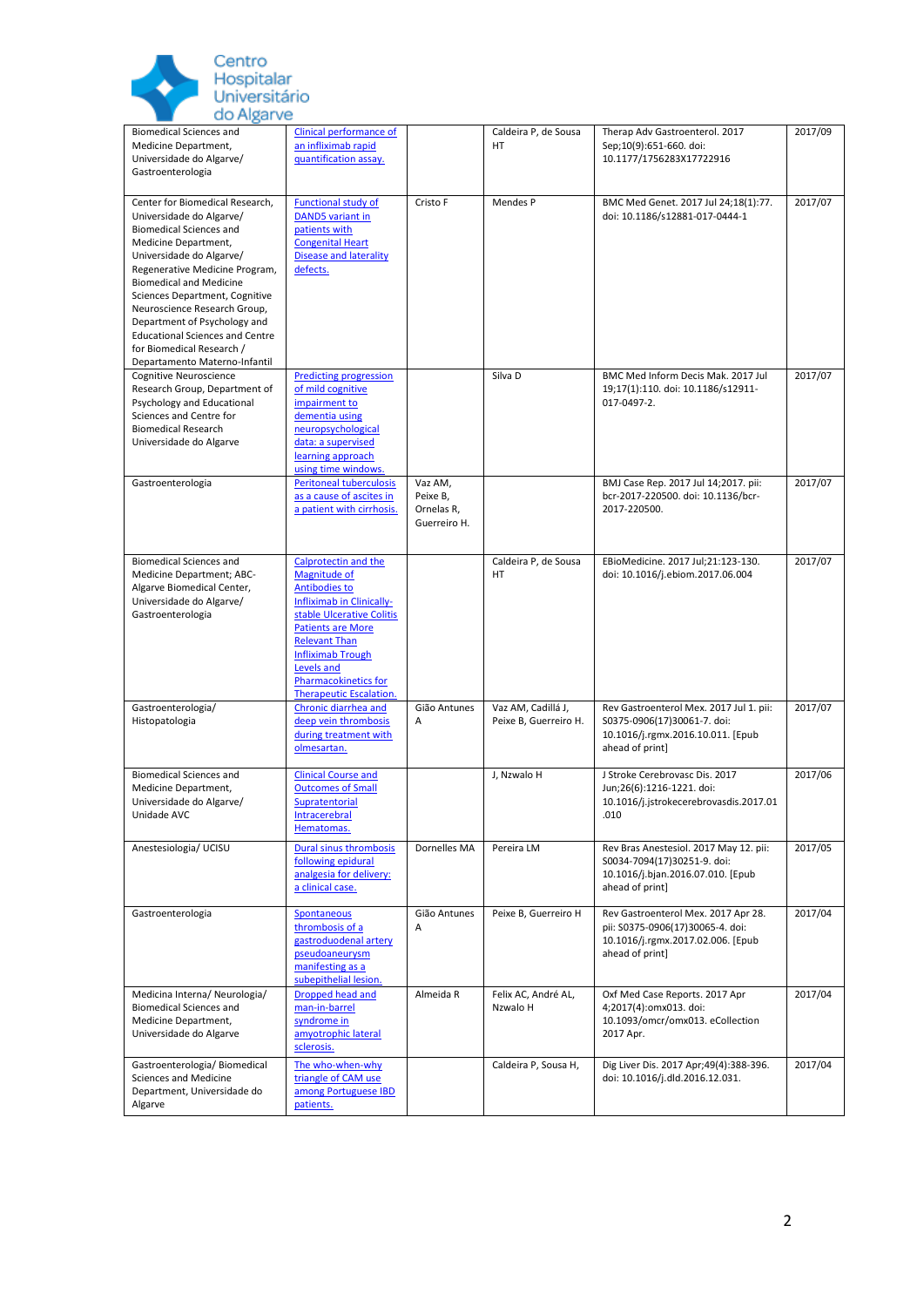

| <b>Biomedical Sciences and</b><br>Medicine Department,<br>Universidade do Algarve/<br>Gastroenterologia                                                                                                                                                                                                                                                                                                                         | Clinical performance of<br>an infliximab rapid<br>quantification assay.                                                                                                                                                                                                               |                                                   | Caldeira P, de Sousa<br><b>HT</b>           | Therap Adv Gastroenterol. 2017<br>Sep;10(9):651-660. doi:<br>10.1177/1756283X17722916                                           | 2017/09 |
|---------------------------------------------------------------------------------------------------------------------------------------------------------------------------------------------------------------------------------------------------------------------------------------------------------------------------------------------------------------------------------------------------------------------------------|---------------------------------------------------------------------------------------------------------------------------------------------------------------------------------------------------------------------------------------------------------------------------------------|---------------------------------------------------|---------------------------------------------|---------------------------------------------------------------------------------------------------------------------------------|---------|
| Center for Biomedical Research,<br>Universidade do Algarve/<br><b>Biomedical Sciences and</b><br>Medicine Department,<br>Universidade do Algarve/<br>Regenerative Medicine Program,<br><b>Biomedical and Medicine</b><br>Sciences Department, Cognitive<br>Neuroscience Research Group,<br>Department of Psychology and<br><b>Educational Sciences and Centre</b><br>for Biomedical Research /<br>Departamento Materno-Infantil | Functional study of<br><b>DAND5</b> variant in<br>patients with<br><b>Congenital Heart</b><br><b>Disease and laterality</b><br>defects.                                                                                                                                               | Cristo F                                          | Mendes P                                    | BMC Med Genet. 2017 Jul 24;18(1):77.<br>doi: 10.1186/s12881-017-0444-1                                                          | 2017/07 |
| Cognitive Neuroscience<br>Research Group, Department of<br>Psychology and Educational<br>Sciences and Centre for<br><b>Biomedical Research</b><br>Universidade do Algarve                                                                                                                                                                                                                                                       | <b>Predicting progression</b><br>of mild cognitive<br>impairment to<br>dementia using<br>neuropsychological<br>data: a supervised<br>learning approach<br>using time windows.                                                                                                         |                                                   | Silva D                                     | BMC Med Inform Decis Mak. 2017 Jul<br>19;17(1):110. doi: 10.1186/s12911-<br>017-0497-2.                                         | 2017/07 |
| Gastroenterologia                                                                                                                                                                                                                                                                                                                                                                                                               | <b>Peritoneal tuberculosis</b><br>as a cause of ascites in<br>a patient with cirrhosis.                                                                                                                                                                                               | Vaz AM,<br>Peixe B,<br>Ornelas R,<br>Guerreiro H. |                                             | BMJ Case Rep. 2017 Jul 14;2017. pii:<br>bcr-2017-220500. doi: 10.1136/bcr-<br>2017-220500.                                      | 2017/07 |
| <b>Biomedical Sciences and</b><br>Medicine Department; ABC-<br>Algarve Biomedical Center,<br>Universidade do Algarve/<br>Gastroenterologia                                                                                                                                                                                                                                                                                      | Calprotectin and the<br>Magnitude of<br><b>Antibodies to</b><br>Infliximab in Clinically-<br>stable Ulcerative Colitis<br><b>Patients are More</b><br><b>Relevant Than</b><br><b>Infliximab Trough</b><br>Levels and<br><b>Pharmacokinetics for</b><br><b>Therapeutic Escalation.</b> |                                                   | Caldeira P, de Sousa<br><b>HT</b>           | EBioMedicine. 2017 Jul;21:123-130.<br>doi: 10.1016/j.ebiom.2017.06.004                                                          | 2017/07 |
| Gastroenterologia/<br>Histopatologia                                                                                                                                                                                                                                                                                                                                                                                            | Chronic diarrhea and<br>deep vein thrombosis<br>during treatment with<br>olmesartan.                                                                                                                                                                                                  | Gião Antunes<br>Α                                 | Vaz AM, Cadillá J,<br>Peixe B, Guerreiro H. | Rev Gastroenterol Mex. 2017 Jul 1. pii:<br>S0375-0906(17)30061-7. doi:<br>10.1016/j.rgmx.2016.10.011. [Epub<br>ahead of print]  | 2017/07 |
| <b>Biomedical Sciences and</b><br>Medicine Department,<br>Universidade do Algarve/<br>Unidade AVC                                                                                                                                                                                                                                                                                                                               | <b>Clinical Course and</b><br><b>Outcomes of Small</b><br>Supratentorial<br><b>Intracerebral</b><br>Hematomas.                                                                                                                                                                        |                                                   | J, Nzwalo H                                 | J Stroke Cerebrovasc Dis. 2017<br>Jun;26(6):1216-1221. doi:<br>10.1016/j.jstrokecerebrovasdis.2017.01<br>.010                   | 2017/06 |
| Anestesiologia/ UCISU                                                                                                                                                                                                                                                                                                                                                                                                           | <b>Dural sinus thrombosis</b><br>following epidural<br>analgesia for delivery:<br>a clinical case.                                                                                                                                                                                    | Dornelles MA                                      | Pereira LM                                  | Rev Bras Anestesiol. 2017 May 12. pii:<br>S0034-7094(17)30251-9. doi:<br>10.1016/j.bjan.2016.07.010. [Epub<br>ahead of print]   | 2017/05 |
| Gastroenterologia                                                                                                                                                                                                                                                                                                                                                                                                               | Spontaneous<br>thrombosis of a<br>gastroduodenal artery<br>pseudoaneurysm<br>manifesting as a<br>subepithelial lesion.                                                                                                                                                                | Gião Antunes<br>Α                                 | Peixe B, Guerreiro H                        | Rev Gastroenterol Mex. 2017 Apr 28.<br>pii: S0375-0906(17)30065-4. doi:<br>10.1016/j.rgmx.2017.02.006. [Epub<br>ahead of print] | 2017/04 |
| Medicina Interna/ Neurologia/<br><b>Biomedical Sciences and</b><br>Medicine Department,<br>Universidade do Algarve                                                                                                                                                                                                                                                                                                              | Dropped head and<br>man-in-barrel<br>syndrome in<br>amyotrophic lateral<br>sclerosis.                                                                                                                                                                                                 | Almeida R                                         | Felix AC, André AL,<br>Nzwalo H             | Oxf Med Case Reports. 2017 Apr<br>4;2017(4):omx013. doi:<br>10.1093/omcr/omx013. eCollection<br>2017 Apr.                       | 2017/04 |
| Gastroenterologia/ Biomedical<br>Sciences and Medicine<br>Department, Universidade do<br>Algarve                                                                                                                                                                                                                                                                                                                                | The who-when-why<br>triangle of CAM use<br>among Portuguese IBD<br>patients.                                                                                                                                                                                                          |                                                   | Caldeira P, Sousa H,                        | Dig Liver Dis. 2017 Apr;49(4):388-396.<br>doi: 10.1016/j.dld.2016.12.031.                                                       | 2017/04 |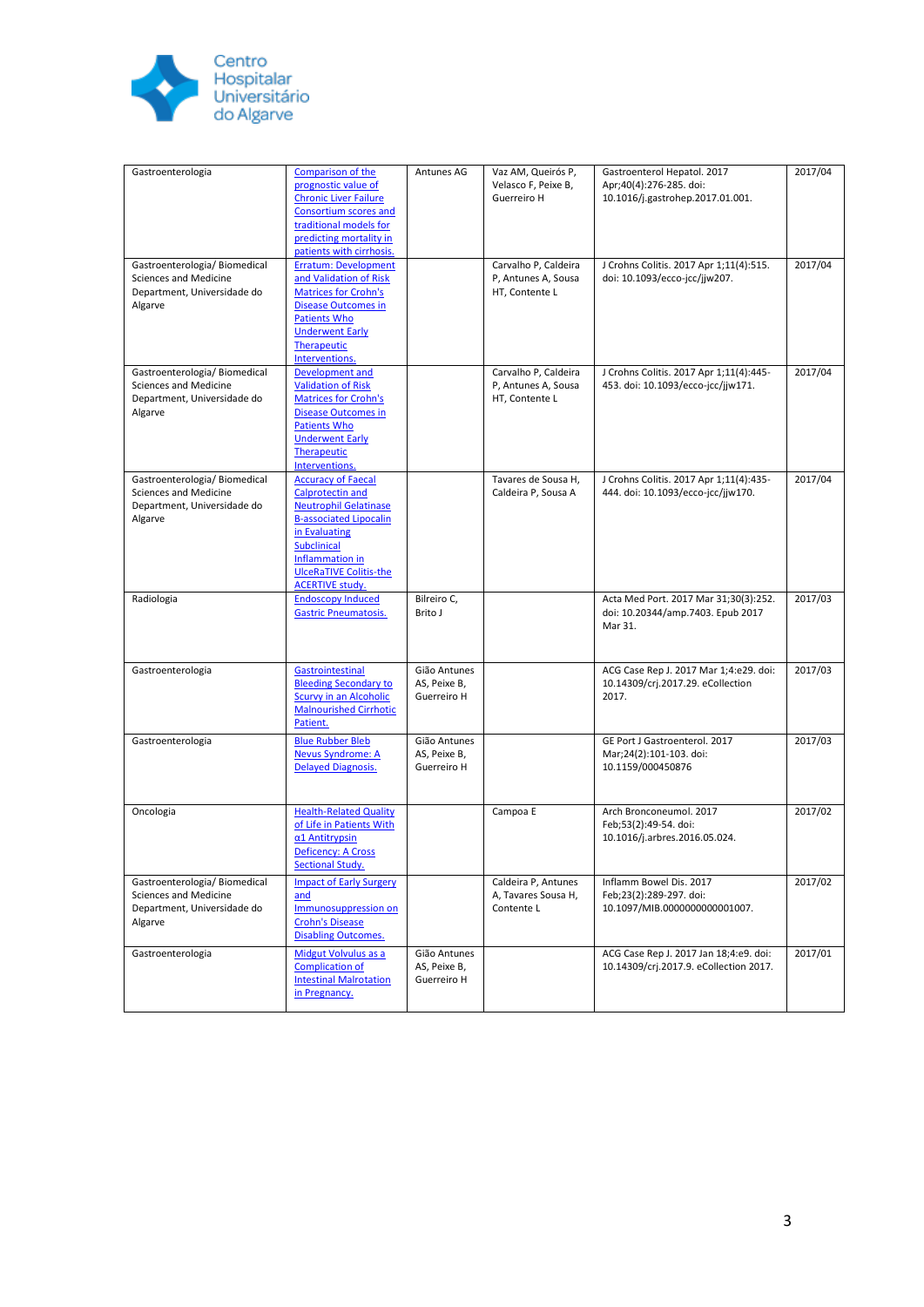

| Gastroenterologia                                                                                       | Comparison of the<br>prognostic value of<br><b>Chronic Liver Failure</b><br><b>Consortium scores and</b><br>traditional models for<br>predicting mortality in<br>patients with cirrhosis.                                                  | Antunes AG                                  | Vaz AM, Queirós P,<br>Velasco F, Peixe B,<br>Guerreiro H      | Gastroenterol Hepatol. 2017<br>Apr;40(4):276-285. doi:<br>10.1016/j.gastrohep.2017.01.001. | 2017/04 |
|---------------------------------------------------------------------------------------------------------|--------------------------------------------------------------------------------------------------------------------------------------------------------------------------------------------------------------------------------------------|---------------------------------------------|---------------------------------------------------------------|--------------------------------------------------------------------------------------------|---------|
| Gastroenterologia/ Biomedical<br>Sciences and Medicine<br>Department, Universidade do<br>Algarve        | <b>Erratum: Development</b><br>and Validation of Risk<br><b>Matrices for Crohn's</b><br><b>Disease Outcomes in</b><br><b>Patients Who</b><br><b>Underwent Early</b><br>Therapeutic<br>Interventions.                                       |                                             | Carvalho P, Caldeira<br>P, Antunes A, Sousa<br>HT, Contente L | J Crohns Colitis. 2017 Apr 1;11(4):515.<br>doi: 10.1093/ecco-jcc/jjw207.                   | 2017/04 |
| Gastroenterologia/ Biomedical<br><b>Sciences and Medicine</b><br>Department, Universidade do<br>Algarve | Development and<br><b>Validation of Risk</b><br><b>Matrices for Crohn's</b><br><b>Disease Outcomes in</b><br><b>Patients Who</b><br><b>Underwent Early</b><br>Therapeutic<br>Interventions.                                                |                                             | Carvalho P, Caldeira<br>P, Antunes A, Sousa<br>HT, Contente L | J Crohns Colitis. 2017 Apr 1;11(4):445-<br>453. doi: 10.1093/ecco-jcc/jjw171.              | 2017/04 |
| Gastroenterologia/ Biomedical<br>Sciences and Medicine<br>Department, Universidade do<br>Algarve        | <b>Accuracy of Faecal</b><br><b>Calprotectin and</b><br><b>Neutrophil Gelatinase</b><br><b>B-associated Lipocalin</b><br>in Evaluating<br><b>Subclinical</b><br>Inflammation in<br><b>UlceRaTIVE Colitis-the</b><br><b>ACERTIVE study.</b> |                                             | Tavares de Sousa H,<br>Caldeira P, Sousa A                    | J Crohns Colitis. 2017 Apr 1;11(4):435-<br>444. doi: 10.1093/ecco-jcc/jjw170.              | 2017/04 |
| Radiologia                                                                                              | <b>Endoscopy Induced</b><br><b>Gastric Pneumatosis.</b>                                                                                                                                                                                    | Bilreiro C,<br>Brito J                      |                                                               | Acta Med Port. 2017 Mar 31;30(3):252.<br>doi: 10.20344/amp.7403. Epub 2017<br>Mar 31.      | 2017/03 |
| Gastroenterologia                                                                                       | Gastrointestinal<br><b>Bleeding Secondary to</b><br>Scurvy in an Alcoholic<br><b>Malnourished Cirrhotic</b><br>Patient.                                                                                                                    | Gião Antunes<br>AS, Peixe B,<br>Guerreiro H |                                                               | ACG Case Rep J. 2017 Mar 1;4:e29. doi:<br>10.14309/crj.2017.29. eCollection<br>2017.       | 2017/03 |
| Gastroenterologia                                                                                       | <b>Blue Rubber Bleb</b><br><b>Nevus Syndrome: A</b><br><b>Delayed Diagnosis.</b>                                                                                                                                                           | Gião Antunes<br>AS, Peixe B,<br>Guerreiro H |                                                               | GE Port J Gastroenterol. 2017<br>Mar;24(2):101-103. doi:<br>10.1159/000450876              | 2017/03 |
| Oncologia                                                                                               | <b>Health-Related Quality</b><br>of Life in Patients With<br>$\alpha$ 1 Antitrypsin<br><b>Deficency: A Cross</b><br><b>Sectional Study.</b>                                                                                                |                                             | Campoa E                                                      | Arch Bronconeumol. 2017<br>Feb;53(2):49-54. doi:<br>10.1016/j.arbres.2016.05.024.          | 2017/02 |
| Gastroenterologia/ Biomedical<br>Sciences and Medicine<br>Department, Universidade do<br>Algarve        | <b>Impact of Early Surgery</b><br>and<br>Immunosuppression on<br><b>Crohn's Disease</b><br><b>Disabling Outcomes.</b>                                                                                                                      |                                             | Caldeira P, Antunes<br>A, Tavares Sousa H,<br>Contente L      | Inflamm Bowel Dis. 2017<br>Feb;23(2):289-297. doi:<br>10.1097/MIB.0000000000001007.        | 2017/02 |
| Gastroenterologia                                                                                       | Midgut Volvulus as a<br><b>Complication of</b><br><b>Intestinal Malrotation</b><br>in Pregnancy.                                                                                                                                           | Gião Antunes<br>AS, Peixe B,<br>Guerreiro H |                                                               | ACG Case Rep J. 2017 Jan 18;4:e9. doi:<br>10.14309/crj.2017.9. eCollection 2017.           | 2017/01 |